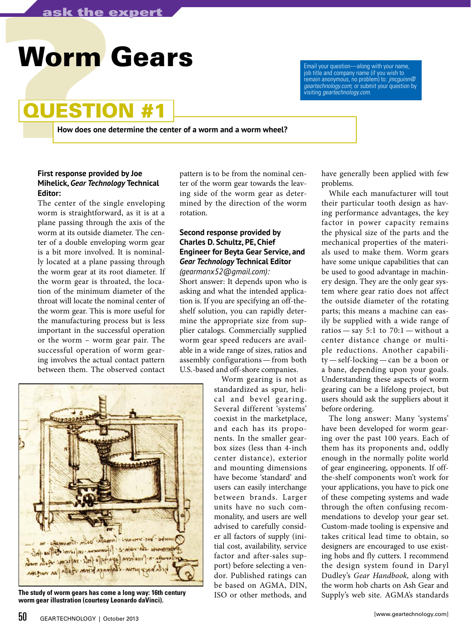# **Worm Gears**

### **QUESTION**

**How does one determine the center of a worm and a worm wheel?**

#### **First response provided by Joe Mihelick,** *Gear Technology* **Technical Editor:**

The center of the single enveloping worm is straightforward, as it is at a plane passing through the axis of the worm at its outside diameter. The center of a double enveloping worm gear is a bit more involved. It is nominally located at a plane passing through the worm gear at its root diameter. If the worm gear is throated, the location of the minimum diameter of the throat will locate the nominal center of the worm gear. This is more useful for the manufacturing process but is less important in the successful operation or the worm – worm gear pair. The successful operation of worm gearing involves the actual contact pattern between them. The observed contact

pattern is to be from the nominal center of the worm gear towards the leaving side of the worm gear as determined by the direction of the worm rotation.

#### **Second response provided by Charles D. Schultz, PE, Chief Engineer for Beyta Gear Service, and**  *Gear Technology* **Technical Editor**  *(gearmanx52@gmail.com):*

Short answer: It depends upon who is asking and what the intended application is. If you are specifying an off-theshelf solution, you can rapidly determine the appropriate size from supplier catalogs. Commercially supplied worm gear speed reducers are available in a wide range of sizes, ratios and assembly configurations—from both U.S.-based and off-shore companies.



The study of worm gears has come a long way: 16th century **TSO** or other methods, and Supply's web site. AGMA's standards **worm gear illustration (courtesy Leonardo daVinci).** 

Worm gearing is not as standardized as spur, helical and bevel gearing. Several different 'systems' coexist in the marketplace, and each has its proponents. In the smaller gearbox sizes (less than 4-inch center distance), exterior and mounting dimensions have become 'standard' and users can easily interchange between brands. Larger units have no such commonality, and users are well advised to carefully consider all factors of supply (initial cost, availability, service factor and after-sales support) before selecting a vendor. Published ratings can be based on AGMA, DIN, ISO or other methods, and

have generally been applied with few problems.

job title and company name (if you wish to remain anonymous, no problem) to: *jmcguinn@ geartechnology.com*; or submit your question by

visiting *geartechnology.com*.

While each manufacturer will tout their particular tooth design as having performance advantages, the key factor in power capacity remains the physical size of the parts and the mechanical properties of the materials used to make them. Worm gears have some unique capabilities that can be used to good advantage in machinery design. They are the only gear system where gear ratio does not affect the outside diameter of the rotating parts; this means a machine can easily be supplied with a wide range of ratios  $-$  say 5:1 to 70:1  $-$  without a center distance change or multiple reductions. Another capability — self-locking — can be a boon or a bane, depending upon your goals. Understanding these aspects of worm gearing can be a lifelong project, but users should ask the suppliers about it before ordering.

The long answer: Many 'systems' have been developed for worm gearing over the past 100 years. Each of them has its proponents and, oddly enough in the normally polite world of gear engineering, opponents. If offthe-shelf components won't work for your applications, you have to pick one of these competing systems and wade through the often confusing recommendations to develop your gear set. Custom-made tooling is expensive and takes critical lead time to obtain, so designers are encouraged to use existing hobs and fly cutters. I recommend the design system found in Daryl Dudley's *Gear Handbook,* along with the worm hob charts on Ash Gear and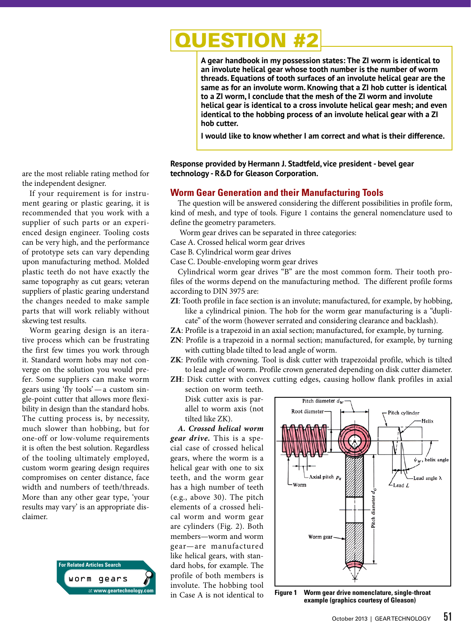## UESTION

**A gear handbook in my possession states: The ZI worm is identical to an involute helical gear whose tooth number is the number of worm threads. Equations of tooth surfaces of an involute helical gear are the same as for an involute worm. Knowing that a ZI hob cutter is identical to a ZI worm, I conclude that the mesh of the ZI worm and involute helical gear is identical to a cross involute helical gear mesh; and even identical to the hobbing process of an involute helical gear with a ZI hob cutter.**

**I would like to know whether I am correct and what is their difference.**

#### **Response provided by Hermann J. Stadtfeld, vice president - bevel gear technology - R&D for Gleason Corporation.**

#### **Worm Gear Generation and their Manufacturing Tools**

The question will be answered considering the different possibilities in profile form, kind of mesh, and type of tools. Figure 1 contains the general nomenclature used to define the geometry parameters.

Worm gear drives can be separated in three categories:

- Case A. Crossed helical worm gear drives
- Case B. Cylindrical worm gear drives

Case C. Double-enveloping worm gear drives

Cylindrical worm gear drives "B" are the most common form. Their tooth profiles of the worms depend on the manufacturing method. The different profile forms according to DIN 3975 are:

- **ZI**: Tooth profile in face section is an involute; manufactured, for example, by hobbing, like a cylindrical pinion. The hob for the worm gear manufacturing is a "duplicate" of the worm (however serrated and considering clearance and backlash).
- **ZA**: Profile is a trapezoid in an axial section; manufactured, for example, by turning.
- **ZN**: Profile is a trapezoid in a normal section; manufactured, for example, by turning with cutting blade tilted to lead angle of worm.
- **ZK**: Profile with crowning. Tool is disk cutter with trapezoidal profile, which is tilted to lead angle of worm. Profile crown generated depending on disk cutter diameter.
- **ZH**: Disk cutter with convex cutting edges, causing hollow flank profiles in axial section on worm teeth.

Disk cutter axis is parallel to worm axis (not tilted like ZK).

*A. Crossed helical worm gear drive.* This is a special case of crossed helical gears, where the worm is a helical gear with one to six teeth, and the worm gear has a high number of teeth (e.g., above 30). The pitch elements of a crossed helical worm and worm gear are cylinders (Fig. 2). Both members—worm and worm gear—are manufactured like helical gears, with standard hobs, for example. The profile of both members is involute. The hobbing tool in Case A is not identical to



**Figure 1 Worm gear drive nomenclature, single-throat example (graphics courtesy of Gleason)**

are the most reliable rating method for the independent designer.

If your requirement is for instrument gearing or plastic gearing, it is recommended that you work with a supplier of such parts or an experienced design engineer. Tooling costs can be very high, and the performance of prototype sets can vary depending upon manufacturing method. Molded plastic teeth do not have exactly the same topography as cut gears; veteran suppliers of plastic gearing understand the changes needed to make sample parts that will work reliably without skewing test results.

Worm gearing design is an iterative process which can be frustrating the first few times you work through it. Standard worm hobs may not converge on the solution you would prefer. Some suppliers can make worm gears using 'fly tools'—a custom single-point cutter that allows more flexibility in design than the standard hobs. The cutting process is, by necessity, much slower than hobbing, but for one-off or low-volume requirements it is often the best solution. Regardless of the tooling ultimately employed, custom worm gearing design requires compromises on center distance, face width and numbers of teeth/threads. More than any other gear type, 'your results may vary' is an appropriate disclaimer.